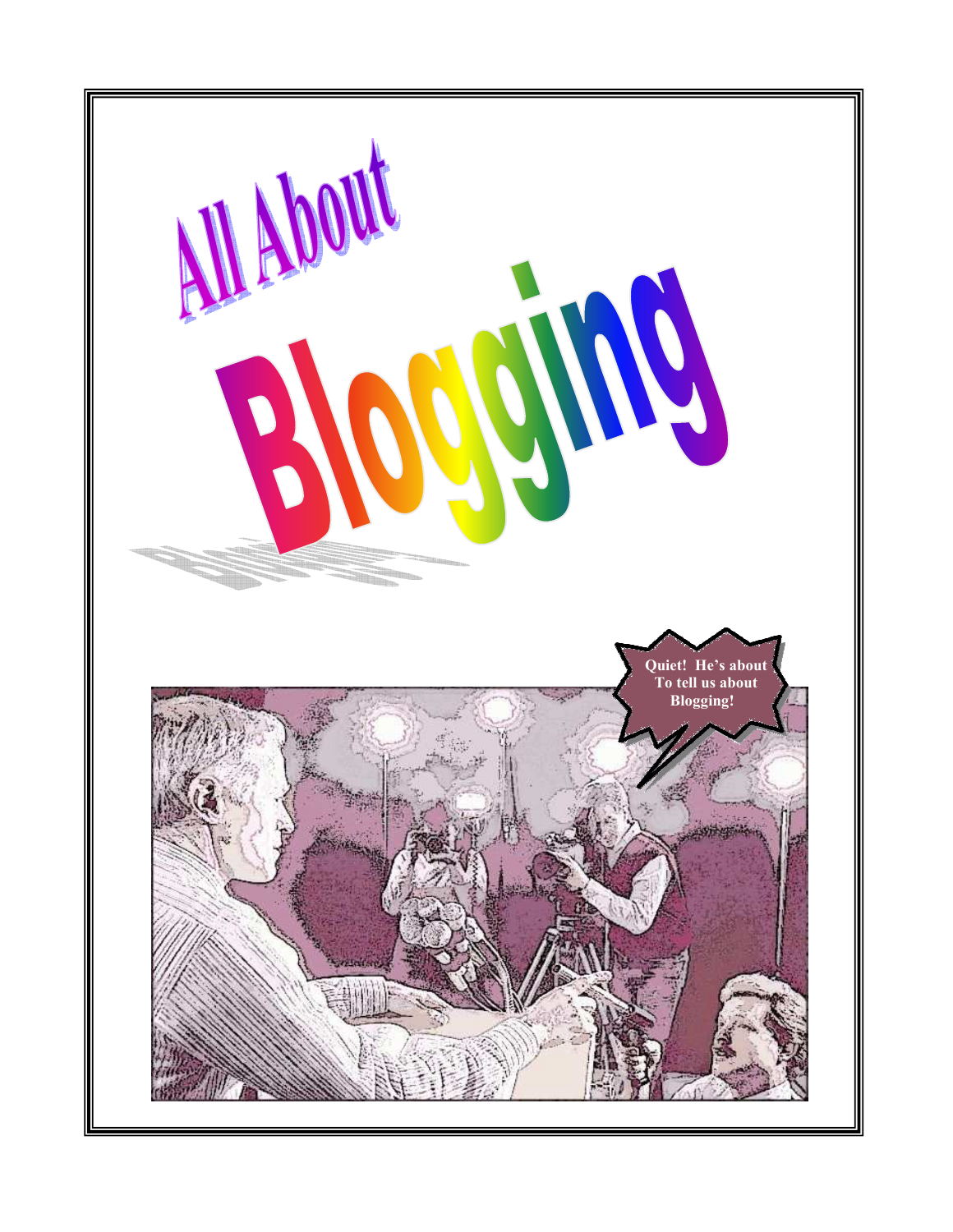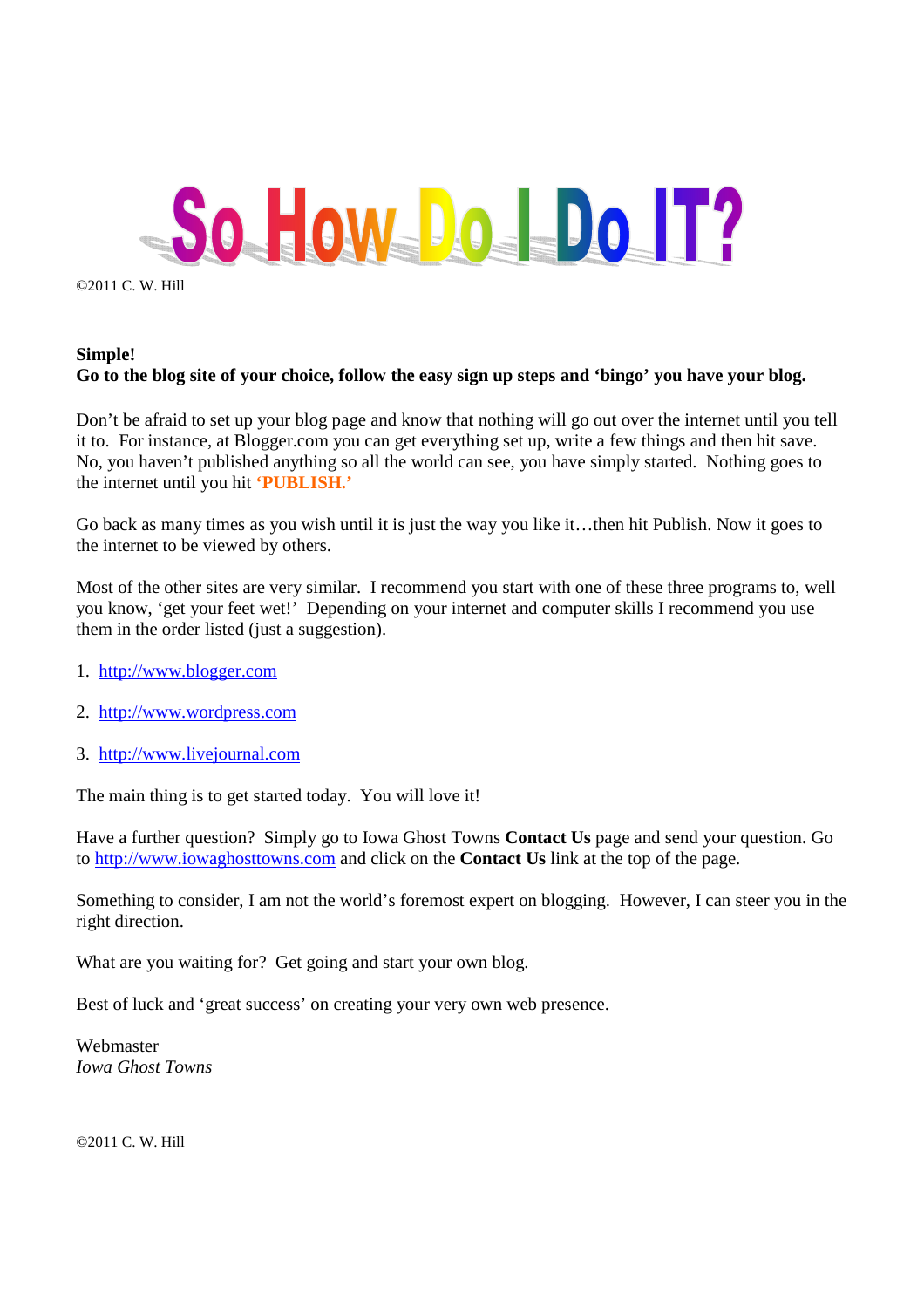

©2011 C. W. Hill

#### **Simple! Go to the blog site of your choice, follow the easy sign up steps and 'bingo' you have your blog.**

Don't be afraid to set up your blog page and know that nothing will go out over the internet until you tell it to. For instance, at Blogger.com you can get everything set up, write a few things and then hit save. No, you haven't published anything so all the world can see, you have simply started. Nothing goes to the internet until you hit **'PUBLISH.'**

Go back as many times as you wish until it is just the way you like it…then hit Publish. Now it goes to the internet to be viewed by others.

Most of the other sites are very similar. I recommend you start with one of these three programs to, well you know, 'get your feet wet!' Depending on your internet and computer skills I recommend you use them in the order listed (just a suggestion).

- 1. http://www.blogger.com
- 2. http://www.wordpress.com
- 3. http://www.livejournal.com

The main thing is to get started today. You will love it!

Have a further question? Simply go to Iowa Ghost Towns **Contact Us** page and send your question. Go to http://www.iowaghosttowns.com and click on the **Contact Us** link at the top of the page.

Something to consider, I am not the world's foremost expert on blogging. However, I can steer you in the right direction.

What are you waiting for? Get going and start your own blog.

Best of luck and 'great success' on creating your very own web presence.

Webmaster *Iowa Ghost Towns* 

©2011 C. W. Hill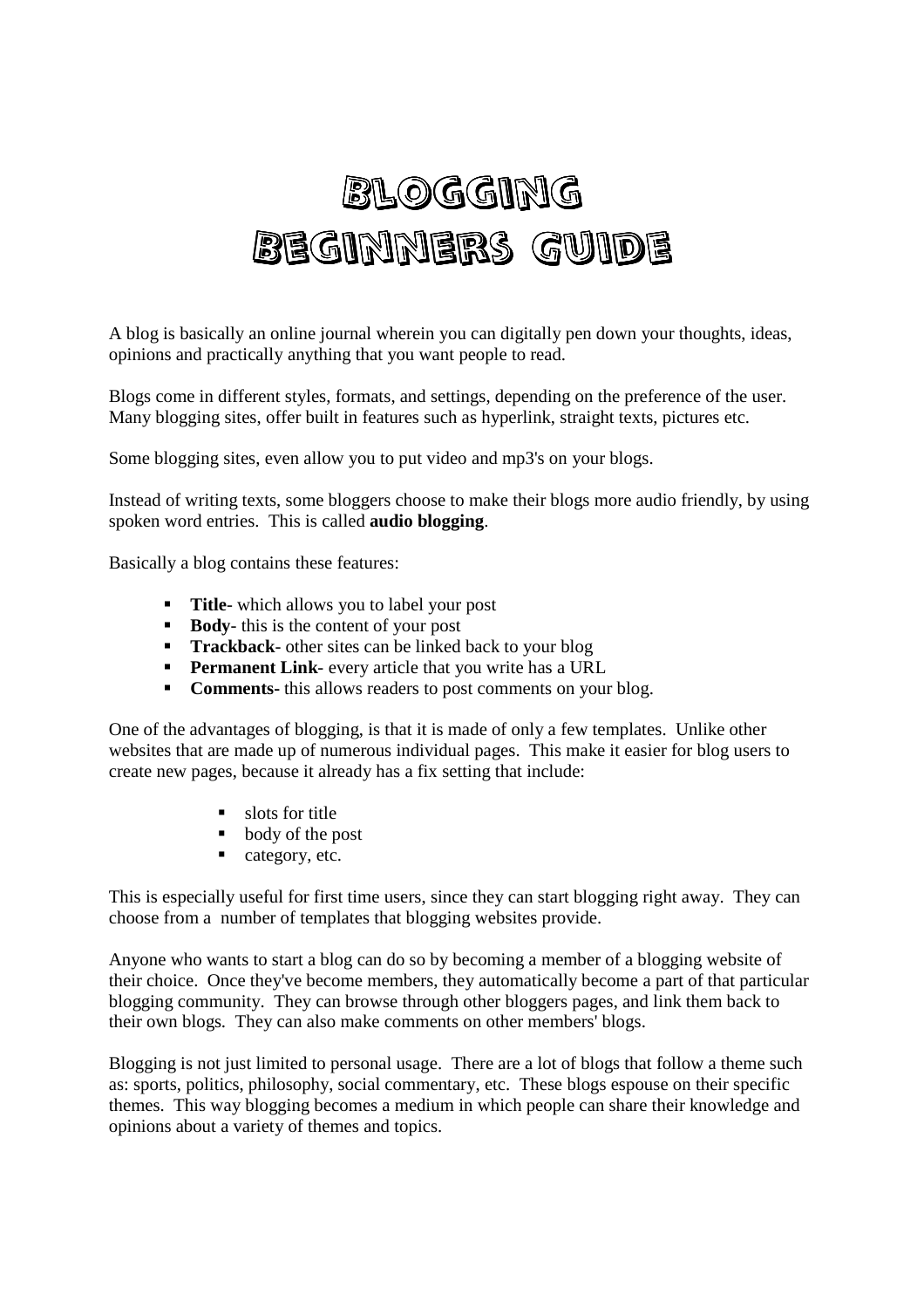## Blogging Beginners Guide

A blog is basically an online journal wherein you can digitally pen down your thoughts, ideas, opinions and practically anything that you want people to read.

Blogs come in different styles, formats, and settings, depending on the preference of the user. Many blogging sites, offer built in features such as hyperlink, straight texts, pictures etc.

Some blogging sites, even allow you to put video and mp3's on your blogs.

Instead of writing texts, some bloggers choose to make their blogs more audio friendly, by using spoken word entries. This is called **audio blogging**.

Basically a blog contains these features:

- **Title-** which allows you to label your post
- **Body-** this is the content of your post
- **Trackback** other sites can be linked back to your blog
- **Permanent Link** every article that you write has a URL
- **Comments-** this allows readers to post comments on your blog.

One of the advantages of blogging, is that it is made of only a few templates. Unlike other websites that are made up of numerous individual pages. This make it easier for blog users to create new pages, because it already has a fix setting that include:

- slots for title
- body of the post
- category, etc.

This is especially useful for first time users, since they can start blogging right away. They can choose from a number of templates that blogging websites provide.

Anyone who wants to start a blog can do so by becoming a member of a blogging website of their choice. Once they've become members, they automatically become a part of that particular blogging community. They can browse through other bloggers pages, and link them back to their own blogs. They can also make comments on other members' blogs.

Blogging is not just limited to personal usage. There are a lot of blogs that follow a theme such as: sports, politics, philosophy, social commentary, etc. These blogs espouse on their specific themes. This way blogging becomes a medium in which people can share their knowledge and opinions about a variety of themes and topics.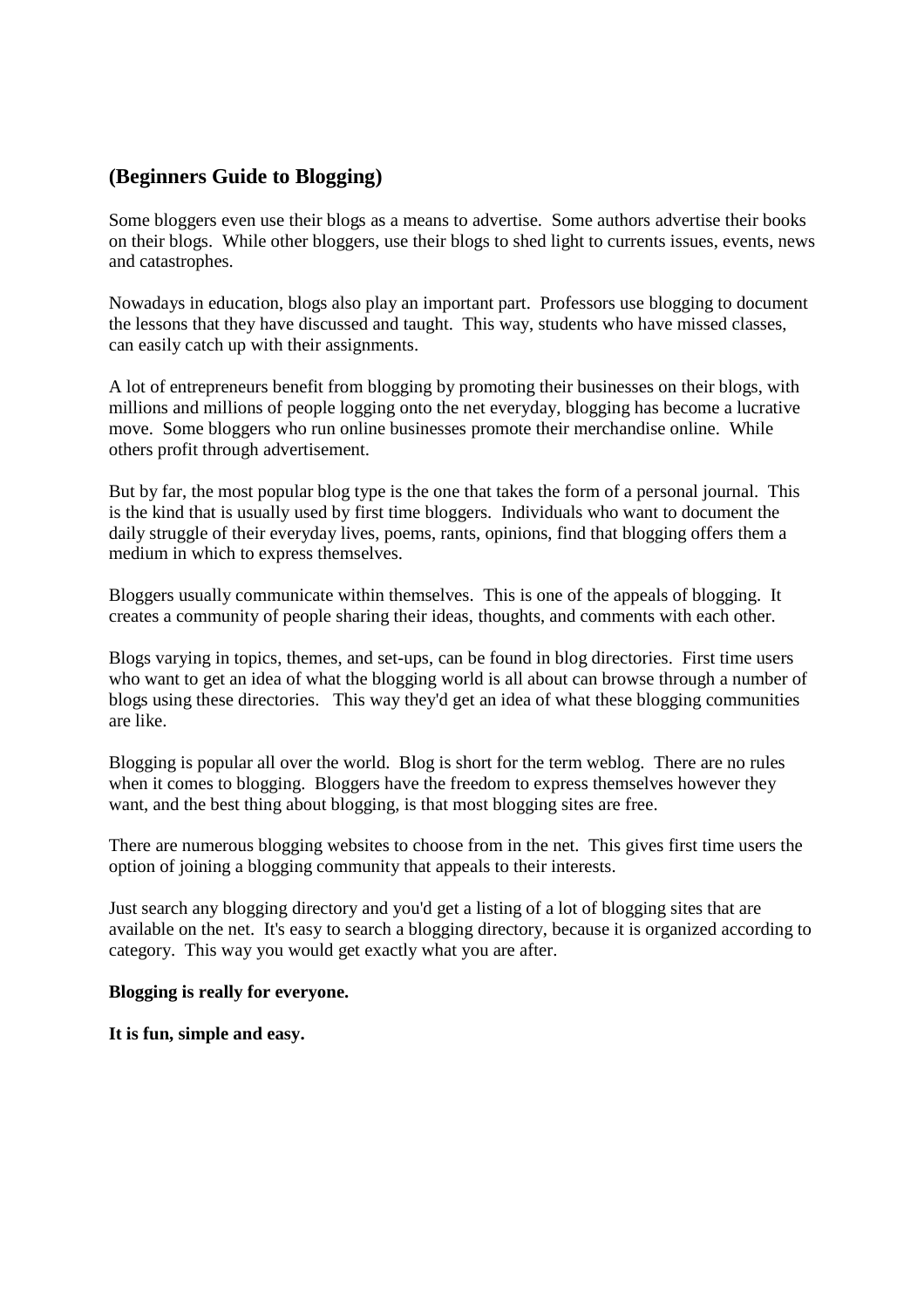#### **(Beginners Guide to Blogging)**

Some bloggers even use their blogs as a means to advertise. Some authors advertise their books on their blogs. While other bloggers, use their blogs to shed light to currents issues, events, news and catastrophes.

Nowadays in education, blogs also play an important part. Professors use blogging to document the lessons that they have discussed and taught. This way, students who have missed classes, can easily catch up with their assignments.

A lot of entrepreneurs benefit from blogging by promoting their businesses on their blogs, with millions and millions of people logging onto the net everyday, blogging has become a lucrative move. Some bloggers who run online businesses promote their merchandise online. While others profit through advertisement.

But by far, the most popular blog type is the one that takes the form of a personal journal. This is the kind that is usually used by first time bloggers. Individuals who want to document the daily struggle of their everyday lives, poems, rants, opinions, find that blogging offers them a medium in which to express themselves.

Bloggers usually communicate within themselves. This is one of the appeals of blogging. It creates a community of people sharing their ideas, thoughts, and comments with each other.

Blogs varying in topics, themes, and set-ups, can be found in blog directories. First time users who want to get an idea of what the blogging world is all about can browse through a number of blogs using these directories. This way they'd get an idea of what these blogging communities are like.

Blogging is popular all over the world. Blog is short for the term weblog. There are no rules when it comes to blogging. Bloggers have the freedom to express themselves however they want, and the best thing about blogging, is that most blogging sites are free.

There are numerous blogging websites to choose from in the net. This gives first time users the option of joining a blogging community that appeals to their interests.

Just search any blogging directory and you'd get a listing of a lot of blogging sites that are available on the net. It's easy to search a blogging directory, because it is organized according to category. This way you would get exactly what you are after.

#### **Blogging is really for everyone.**

**It is fun, simple and easy.**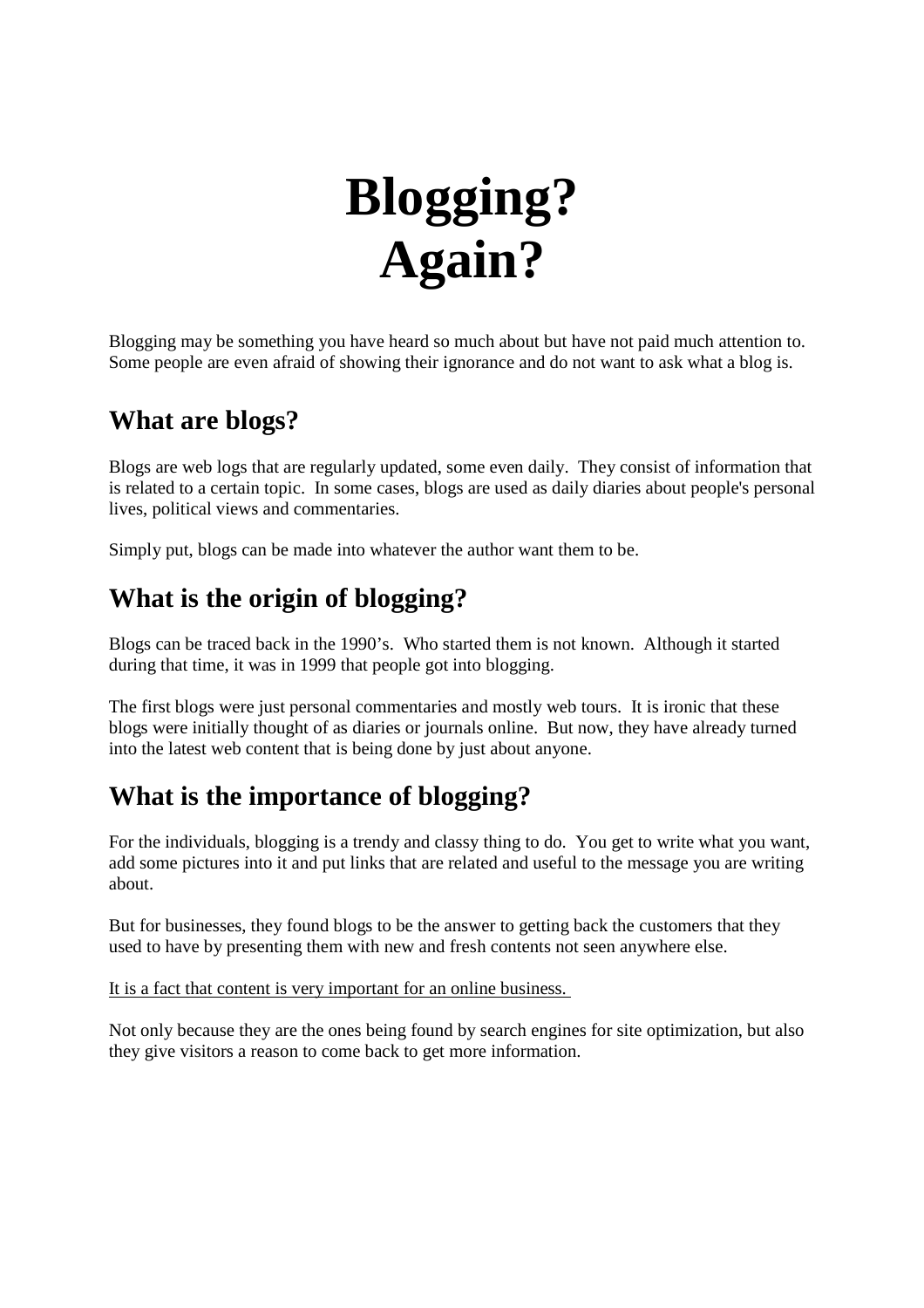## **Blogging? Again?**

Blogging may be something you have heard so much about but have not paid much attention to. Some people are even afraid of showing their ignorance and do not want to ask what a blog is.

## **What are blogs?**

Blogs are web logs that are regularly updated, some even daily. They consist of information that is related to a certain topic. In some cases, blogs are used as daily diaries about people's personal lives, political views and commentaries.

Simply put, blogs can be made into whatever the author want them to be.

## **What is the origin of blogging?**

Blogs can be traced back in the 1990's. Who started them is not known. Although it started during that time, it was in 1999 that people got into blogging.

The first blogs were just personal commentaries and mostly web tours. It is ironic that these blogs were initially thought of as diaries or journals online. But now, they have already turned into the latest web content that is being done by just about anyone.

## **What is the importance of blogging?**

For the individuals, blogging is a trendy and classy thing to do. You get to write what you want, add some pictures into it and put links that are related and useful to the message you are writing about.

But for businesses, they found blogs to be the answer to getting back the customers that they used to have by presenting them with new and fresh contents not seen anywhere else.

It is a fact that content is very important for an online business.

Not only because they are the ones being found by search engines for site optimization, but also they give visitors a reason to come back to get more information.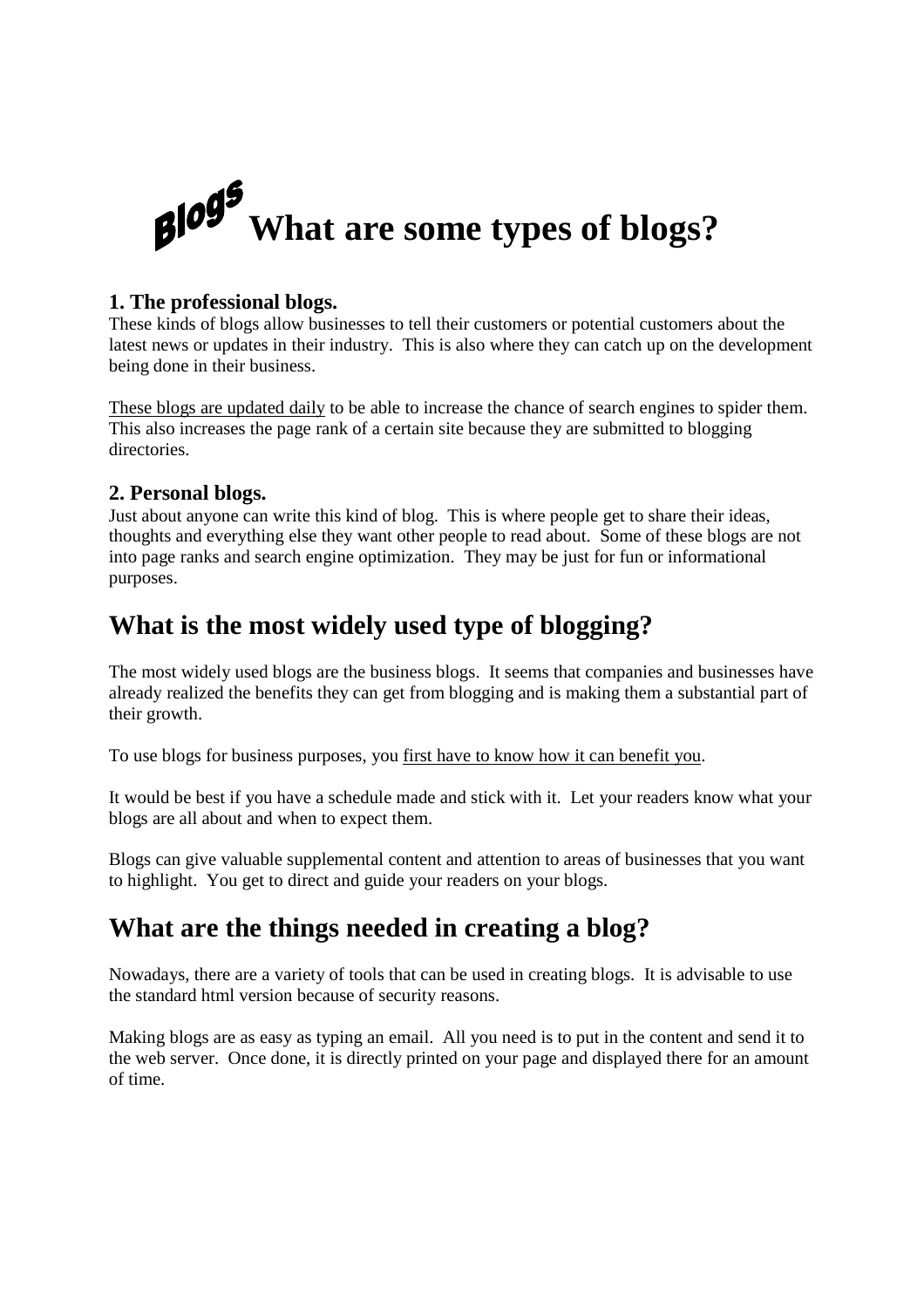## $B1095$ **What are some types of blogs?**

#### **1. The professional blogs.**

These kinds of blogs allow businesses to tell their customers or potential customers about the latest news or updates in their industry. This is also where they can catch up on the development being done in their business.

These blogs are updated daily to be able to increase the chance of search engines to spider them. This also increases the page rank of a certain site because they are submitted to blogging directories.

#### **2. Personal blogs.**

Just about anyone can write this kind of blog. This is where people get to share their ideas, thoughts and everything else they want other people to read about. Some of these blogs are not into page ranks and search engine optimization. They may be just for fun or informational purposes.

### **What is the most widely used type of blogging?**

The most widely used blogs are the business blogs. It seems that companies and businesses have already realized the benefits they can get from blogging and is making them a substantial part of their growth.

To use blogs for business purposes, you first have to know how it can benefit you.

It would be best if you have a schedule made and stick with it. Let your readers know what your blogs are all about and when to expect them.

Blogs can give valuable supplemental content and attention to areas of businesses that you want to highlight. You get to direct and guide your readers on your blogs.

## **What are the things needed in creating a blog?**

Nowadays, there are a variety of tools that can be used in creating blogs. It is advisable to use the standard html version because of security reasons.

Making blogs are as easy as typing an email. All you need is to put in the content and send it to the web server. Once done, it is directly printed on your page and displayed there for an amount of time.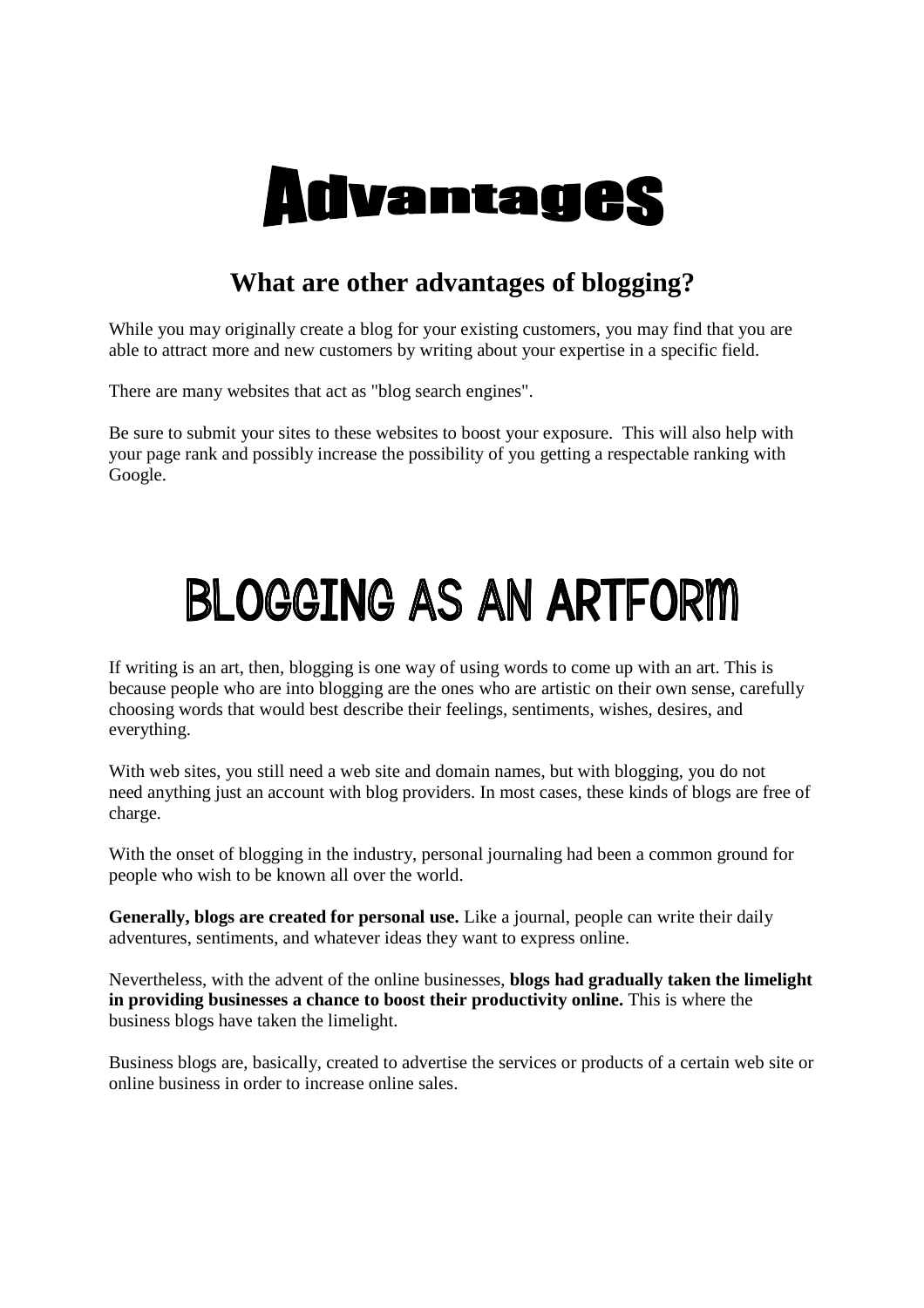

### **What are other advantages of blogging?**

While you may originally create a blog for your existing customers, you may find that you are able to attract more and new customers by writing about your expertise in a specific field.

There are many websites that act as "blog search engines".

Be sure to submit your sites to these websites to boost your exposure. This will also help with your page rank and possibly increase the possibility of you getting a respectable ranking with Google.

# BLOGGING AS AN ARTFORM

If writing is an art, then, blogging is one way of using words to come up with an art. This is because people who are into blogging are the ones who are artistic on their own sense, carefully choosing words that would best describe their feelings, sentiments, wishes, desires, and everything.

With web sites, you still need a web site and domain names, but with blogging, you do not need anything just an account with blog providers. In most cases, these kinds of blogs are free of charge.

With the onset of blogging in the industry, personal journaling had been a common ground for people who wish to be known all over the world.

**Generally, blogs are created for personal use.** Like a journal, people can write their daily adventures, sentiments, and whatever ideas they want to express online.

Nevertheless, with the advent of the online businesses, **blogs had gradually taken the limelight in providing businesses a chance to boost their productivity online.** This is where the business blogs have taken the limelight.

Business blogs are, basically, created to advertise the services or products of a certain web site or online business in order to increase online sales.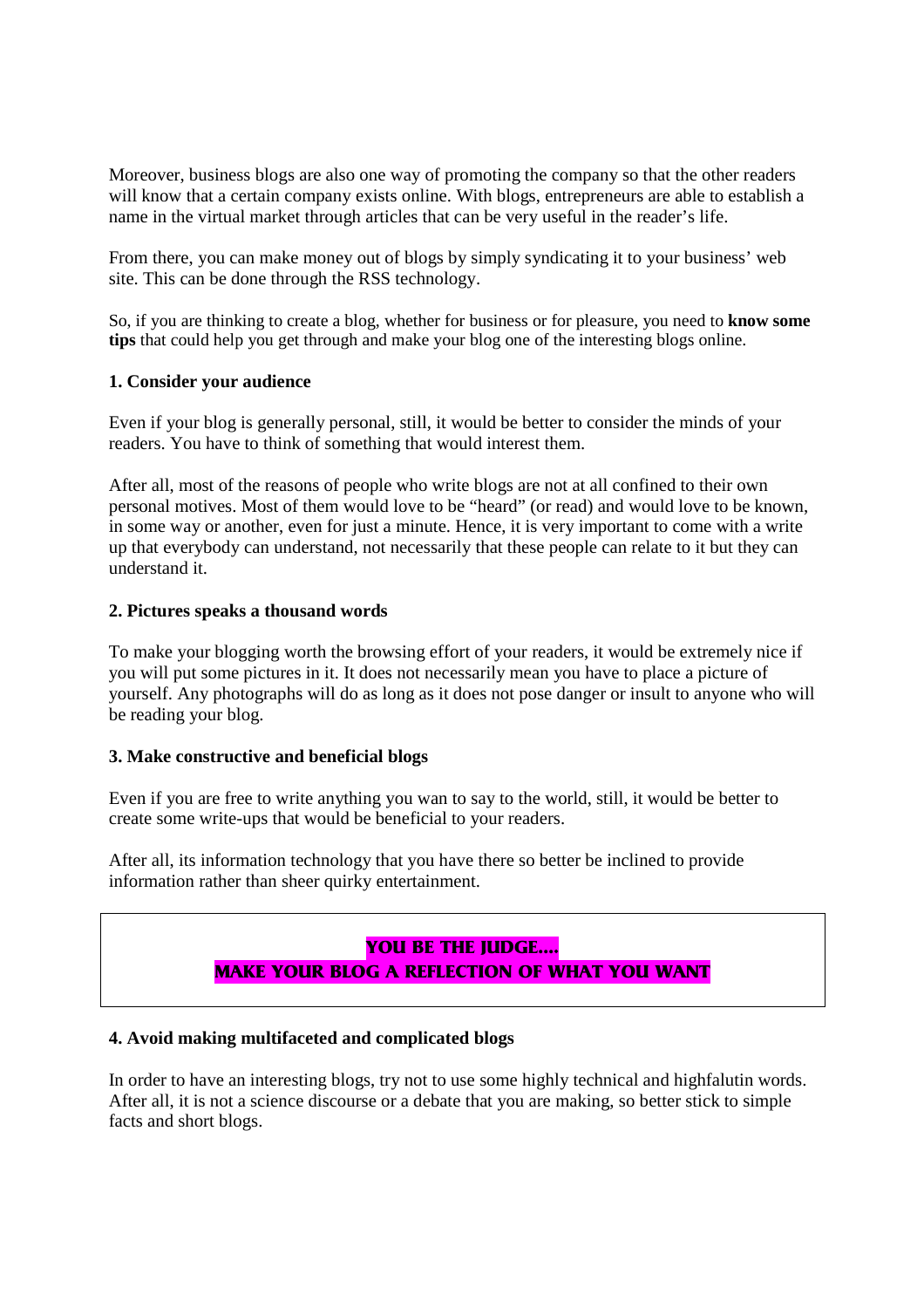Moreover, business blogs are also one way of promoting the company so that the other readers will know that a certain company exists online. With blogs, entrepreneurs are able to establish a name in the virtual market through articles that can be very useful in the reader's life.

From there, you can make money out of blogs by simply syndicating it to your business' web site. This can be done through the RSS technology.

So, if you are thinking to create a blog, whether for business or for pleasure, you need to **know some tips** that could help you get through and make your blog one of the interesting blogs online.

#### **1. Consider your audience**

Even if your blog is generally personal, still, it would be better to consider the minds of your readers. You have to think of something that would interest them.

After all, most of the reasons of people who write blogs are not at all confined to their own personal motives. Most of them would love to be "heard" (or read) and would love to be known, in some way or another, even for just a minute. Hence, it is very important to come with a write up that everybody can understand, not necessarily that these people can relate to it but they can understand it.

#### **2. Pictures speaks a thousand words**

To make your blogging worth the browsing effort of your readers, it would be extremely nice if you will put some pictures in it. It does not necessarily mean you have to place a picture of yourself. Any photographs will do as long as it does not pose danger or insult to anyone who will be reading your blog.

#### **3. Make constructive and beneficial blogs**

Even if you are free to write anything you wan to say to the world, still, it would be better to create some write-ups that would be beneficial to your readers.

After all, its information technology that you have there so better be inclined to provide information rather than sheer quirky entertainment.

#### **YOU BE THE JUDGE…. MAKE YOUR BLOG A REFLECTION OF WHAT YOU WANT**

#### **4. Avoid making multifaceted and complicated blogs**

In order to have an interesting blogs, try not to use some highly technical and highfalutin words. After all, it is not a science discourse or a debate that you are making, so better stick to simple facts and short blogs.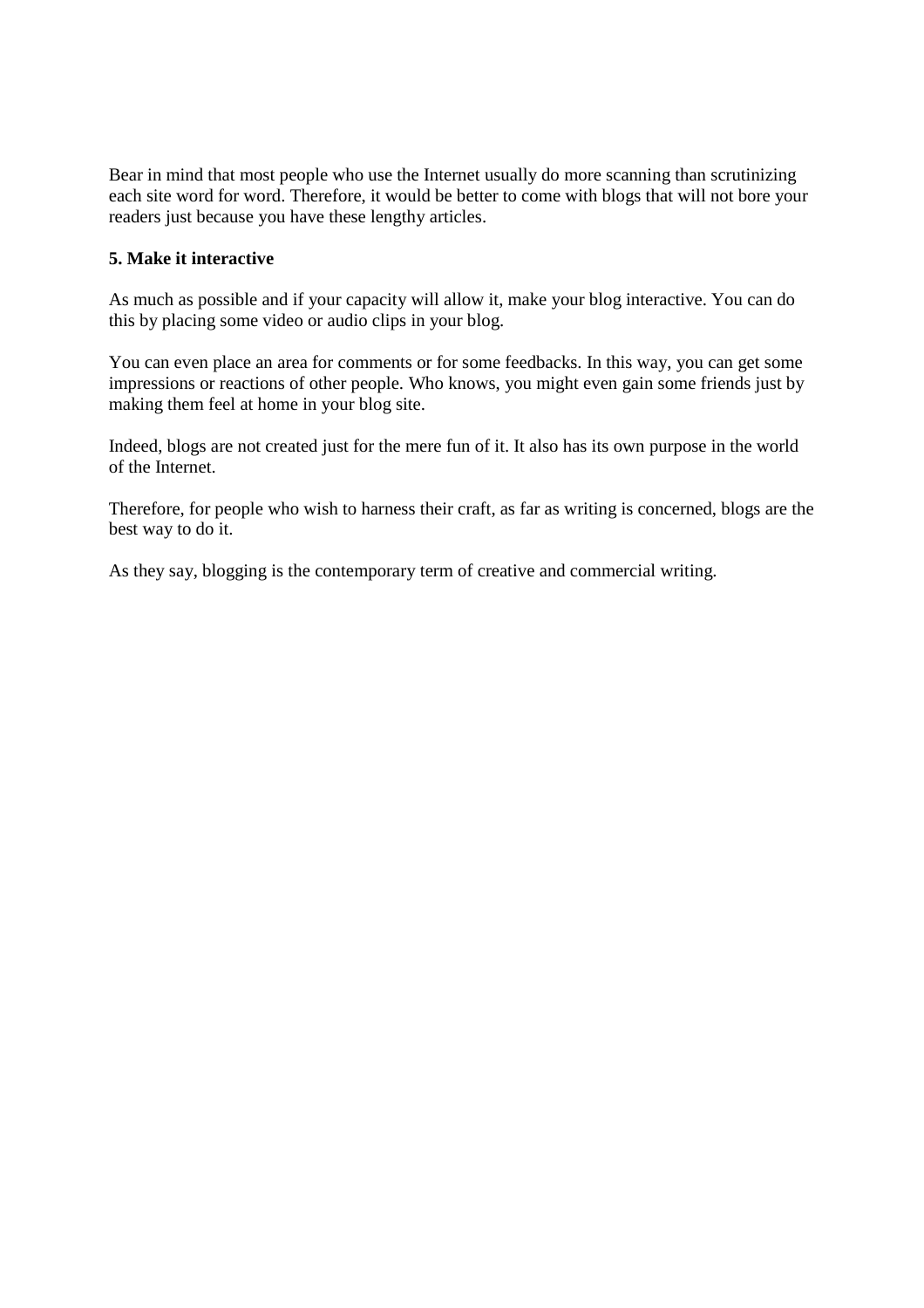Bear in mind that most people who use the Internet usually do more scanning than scrutinizing each site word for word. Therefore, it would be better to come with blogs that will not bore your readers just because you have these lengthy articles.

#### **5. Make it interactive**

As much as possible and if your capacity will allow it, make your blog interactive. You can do this by placing some video or audio clips in your blog.

You can even place an area for comments or for some feedbacks. In this way, you can get some impressions or reactions of other people. Who knows, you might even gain some friends just by making them feel at home in your blog site.

Indeed, blogs are not created just for the mere fun of it. It also has its own purpose in the world of the Internet.

Therefore, for people who wish to harness their craft, as far as writing is concerned, blogs are the best way to do it.

As they say, blogging is the contemporary term of creative and commercial writing.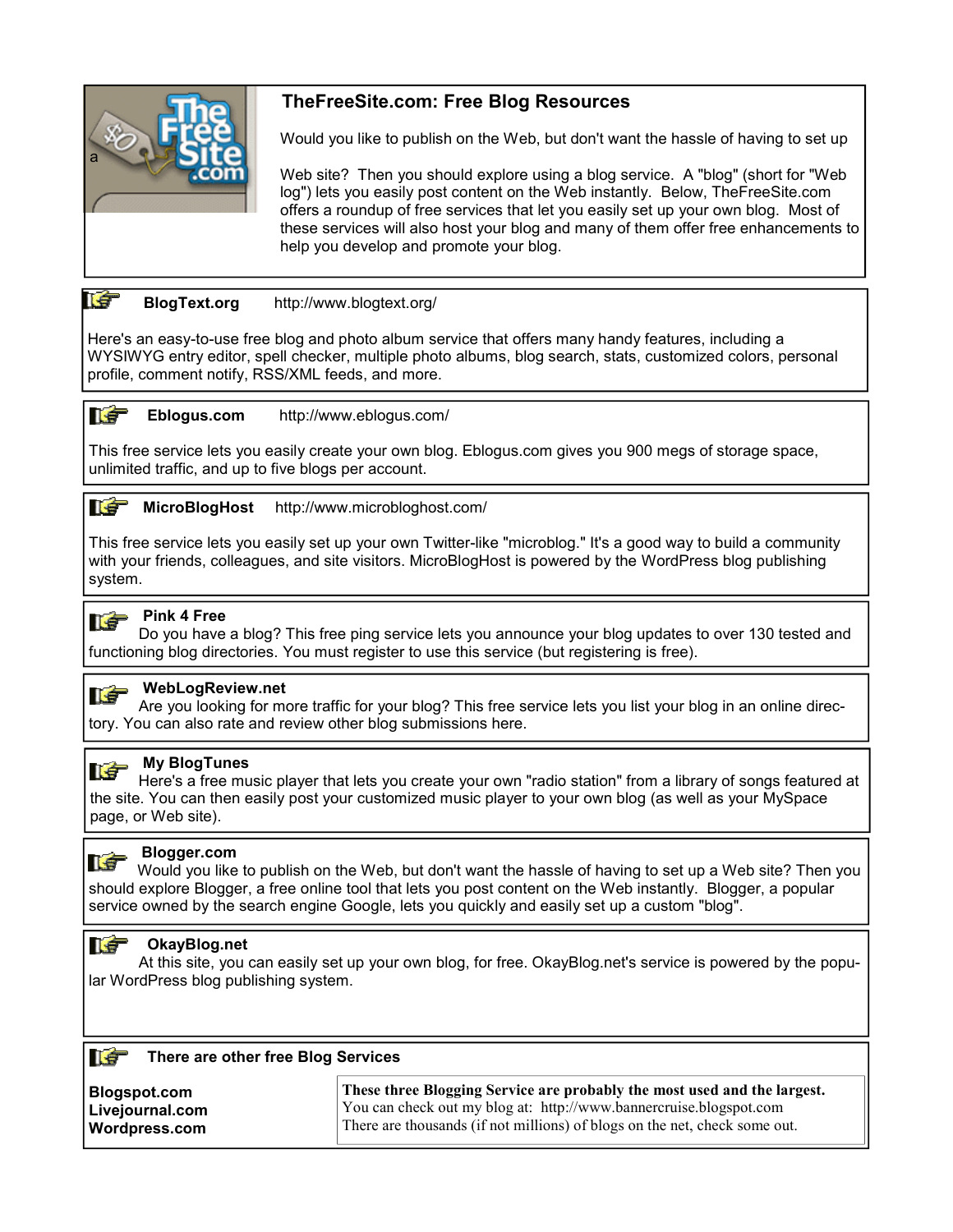

#### **TheFreeSite.com: Free Blog Resources**

Would you like to publish on the Web, but don't want the hassle of having to set up

 Web site? Then you should explore using a blog service. A "blog" (short for "Web log") lets you easily post content on the Web instantly. Below, TheFreeSite.com offers a roundup of free services that let you easily set up your own blog. Most of these services will also host your blog and many of them offer free enhancements to help you develop and promote your blog.

#### **BlogText.org** http://www.blogtext.org/

Here's an easy-to-use free blog and photo album service that offers many handy features, including a WYSIWYG entry editor, spell checker, multiple photo albums, blog search, stats, customized colors, personal profile, comment notify, RSS/XML feeds, and more.

#### **Net Eblogus.com** http://www.eblogus.com/

This free service lets you easily create your own blog. Eblogus.com gives you 900 megs of storage space, unlimited traffic, and up to five blogs per account.



**MicroBlogHost** http://www.microbloghost.com/

This free service lets you easily set up your own Twitter-like "microblog." It's a good way to build a community with your friends, colleagues, and site visitors. MicroBlogHost is powered by the WordPress blog publishing system.



#### **Pink 4 Free**

Do you have a blog? This free ping service lets you announce your blog updates to over 130 tested and functioning blog directories. You must register to use this service (but registering is free).



#### **WebLogReview.net**

Are you looking for more traffic for your blog? This free service lets you list your blog in an online directory. You can also rate and review other blog submissions here.



#### **My BlogTunes**

Here's a free music player that lets you create your own "radio station" from a library of songs featured at the site. You can then easily post your customized music player to your own blog (as well as your MySpace page, or Web site).



#### **Blogger.com**

Would you like to publish on the Web, but don't want the hassle of having to set up a Web site? Then you should explore Blogger, a free online tool that lets you post content on the Web instantly. Blogger, a popular service owned by the search engine Google, lets you quickly and easily set up a custom "blog".

#### **IT OkayBlog.net**

At this site, you can easily set up your own blog, for free. OkayBlog.net's service is powered by the popular WordPress blog publishing system.

| <b>NST</b> |  | There are other free Blog Services |  |  |
|------------|--|------------------------------------|--|--|
|------------|--|------------------------------------|--|--|

| Blogspot.com    | These three Blogging Service are probably the most used and the largest.   |
|-----------------|----------------------------------------------------------------------------|
| Livejournal.com | You can check out my blog at: http://www.bannercruise.blogspot.com         |
| Wordpress.com   | There are thousands (if not millions) of blogs on the net, check some out. |